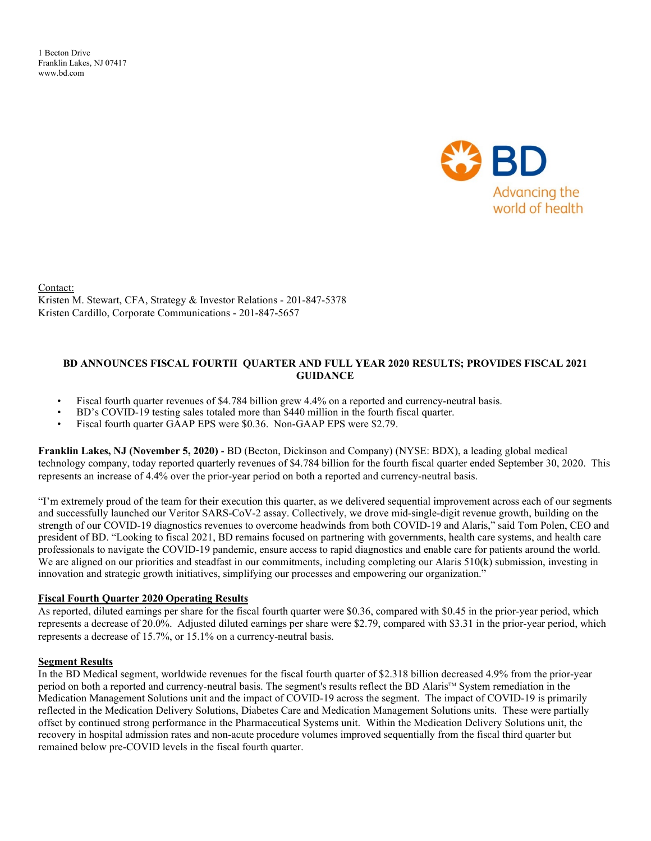1 Becton Drive Franklin Lakes, NJ 07417 www.bd.com



Contact: Kristen M. Stewart, CFA, Strategy & Investor Relations - 201-847-5378 Kristen Cardillo, Corporate Communications - 201-847-5657

#### **BD ANNOUNCES FISCAL FOURTH QUARTER AND FULL YEAR 2020 RESULTS; PROVIDES FISCAL 2021 GUIDANCE**

- Fiscal fourth quarter revenues of \$4.784 billion grew 4.4% on a reported and currency-neutral basis.
- BD's COVID-19 testing sales totaled more than \$440 million in the fourth fiscal quarter.
- Fiscal fourth quarter GAAP EPS were \$0.36. Non-GAAP EPS were \$2.79.

**Franklin Lakes, NJ (November 5, 2020)** - BD (Becton, Dickinson and Company) (NYSE: BDX), a leading global medical technology company, today reported quarterly revenues of \$4.784 billion for the fourth fiscal quarter ended September 30, 2020. This represents an increase of 4.4% over the prior-year period on both a reported and currency-neutral basis.

"I'm extremely proud of the team for their execution this quarter, as we delivered sequential improvement across each of our segments and successfully launched our Veritor SARS-CoV-2 assay. Collectively, we drove mid-single-digit revenue growth, building on the strength of our COVID-19 diagnostics revenues to overcome headwinds from both COVID-19 and Alaris," said Tom Polen, CEO and president of BD. "Looking to fiscal 2021, BD remains focused on partnering with governments, health care systems, and health care professionals to navigate the COVID-19 pandemic, ensure access to rapid diagnostics and enable care for patients around the world. We are aligned on our priorities and steadfast in our commitments, including completing our Alaris 510(k) submission, investing in innovation and strategic growth initiatives, simplifying our processes and empowering our organization."

#### **Fiscal Fourth Quarter 2020 Operating Results**

As reported, diluted earnings per share for the fiscal fourth quarter were \$0.36, compared with \$0.45 in the prior-year period, which represents a decrease of 20.0%. Adjusted diluted earnings per share were \$2.79, compared with \$3.31 in the prior-year period, which represents a decrease of 15.7%, or 15.1% on a currency-neutral basis.

#### **Segment Results**

In the BD Medical segment, worldwide revenues for the fiscal fourth quarter of \$2.318 billion decreased 4.9% from the prior-year period on both a reported and currency-neutral basis. The segment's results reflect the BD Alaris™ System remediation in the Medication Management Solutions unit and the impact of COVID-19 across the segment. The impact of COVID-19 is primarily reflected in the Medication Delivery Solutions, Diabetes Care and Medication Management Solutions units. These were partially offset by continued strong performance in the Pharmaceutical Systems unit. Within the Medication Delivery Solutions unit, the recovery in hospital admission rates and non-acute procedure volumes improved sequentially from the fiscal third quarter but remained below pre-COVID levels in the fiscal fourth quarter.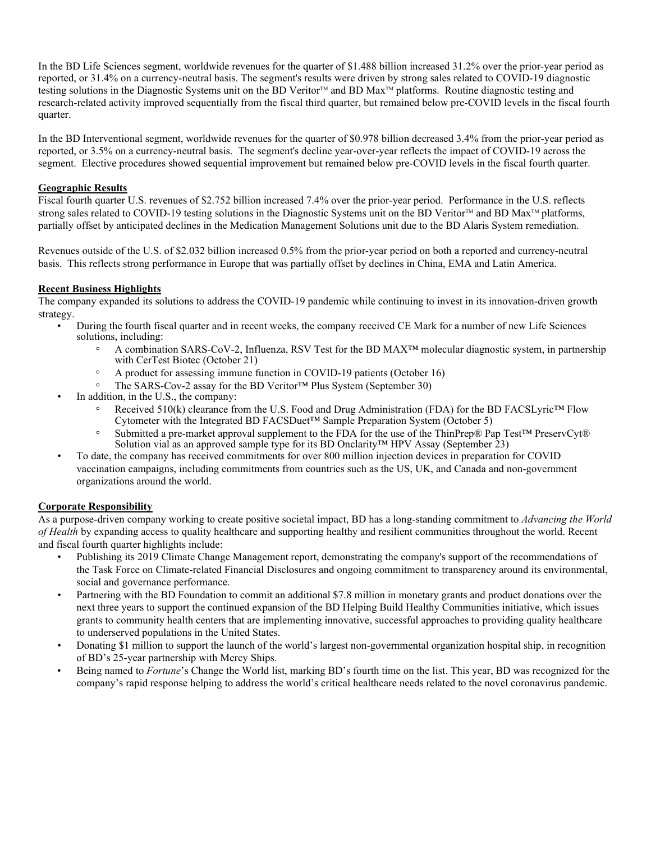In the BD Life Sciences segment, worldwide revenues for the quarter of \$1.488 billion increased 31.2% over the prior-year period as reported, or 31.4% on a currency-neutral basis. The segment's results were driven by strong sales related to COVID-19 diagnostic testing solutions in the Diagnostic Systems unit on the BD Veritor<sup>TM</sup> and BD Max<sup>TM</sup> platforms. Routine diagnostic testing and research-related activity improved sequentially from the fiscal third quarter, but remained below pre-COVID levels in the fiscal fourth quarter.

In the BD Interventional segment, worldwide revenues for the quarter of \$0.978 billion decreased 3.4% from the prior-year period as reported, or 3.5% on a currency-neutral basis. The segment's decline year-over-year reflects the impact of COVID-19 across the segment. Elective procedures showed sequential improvement but remained below pre-COVID levels in the fiscal fourth quarter.

#### **Geographic Results**

Fiscal fourth quarter U.S. revenues of \$2.752 billion increased 7.4% over the prior-year period. Performance in the U.S. reflects strong sales related to COVID-19 testing solutions in the Diagnostic Systems unit on the BD Veritor™ and BD Max™ platforms, partially offset by anticipated declines in the Medication Management Solutions unit due to the BD Alaris System remediation.

Revenues outside of the U.S. of \$2.032 billion increased 0.5% from the prior-year period on both a reported and currency-neutral basis. This reflects strong performance in Europe that was partially offset by declines in China, EMA and Latin America.

### **Recent Business Highlights**

The company expanded its solutions to address the COVID-19 pandemic while continuing to invest in its innovation-driven growth strategy.

- During the fourth fiscal quarter and in recent weeks, the company received CE Mark for a number of new Life Sciences solutions, including:
	- A combination SARS-CoV-2, Influenza, RSV Test for the BD MAX™ molecular diagnostic system, in partnership with CerTest Biotec (October 21)
	- A product for assessing immune function in COVID-19 patients (October 16)
	- The SARS-Cov-2 assay for the BD Veritor™ Plus System (September 30)
- In addition, in the U.S., the company:
	- Received 510(k) clearance from the U.S. Food and Drug Administration (FDA) for the BD FACSLyric™ Flow Cytometer with the Integrated BD FACSDuet<sup>™</sup> Sample Preparation System (October 5)
	- Submitted a pre-market approval supplement to the FDA for the use of the ThinPrep® Pap Test™ PreservCyt® Solution vial as an approved sample type for its BD Onclarity™ HPV Assay (September 23)
- To date, the company has received commitments for over 800 million injection devices in preparation for COVID vaccination campaigns, including commitments from countries such as the US, UK, and Canada and non-government organizations around the world.

## **Corporate Responsibility**

As a purpose-driven company working to create positive societal impact, BD has a long-standing commitment to *Advancing the World of Health* by expanding access to quality healthcare and supporting healthy and resilient communities throughout the world. Recent and fiscal fourth quarter highlights include:

- Publishing its 2019 Climate Change Management report, demonstrating the company's support of the recommendations of the Task Force on Climate-related Financial Disclosures and ongoing commitment to transparency around its environmental, social and governance performance.
- Partnering with the BD Foundation to commit an additional \$7.8 million in monetary grants and product donations over the next three years to support the continued expansion of the BD Helping Build Healthy Communities initiative, which issues grants to community health centers that are implementing innovative, successful approaches to providing quality healthcare to underserved populations in the United States.
- Donating \$1 million to support the launch of the world's largest non-governmental organization hospital ship, in recognition of BD's 25-year partnership with Mercy Ships.
- Being named to *Fortune*'s Change the World list, marking BD's fourth time on the list. This year, BD was recognized for the company's rapid response helping to address the world's critical healthcare needs related to the novel coronavirus pandemic.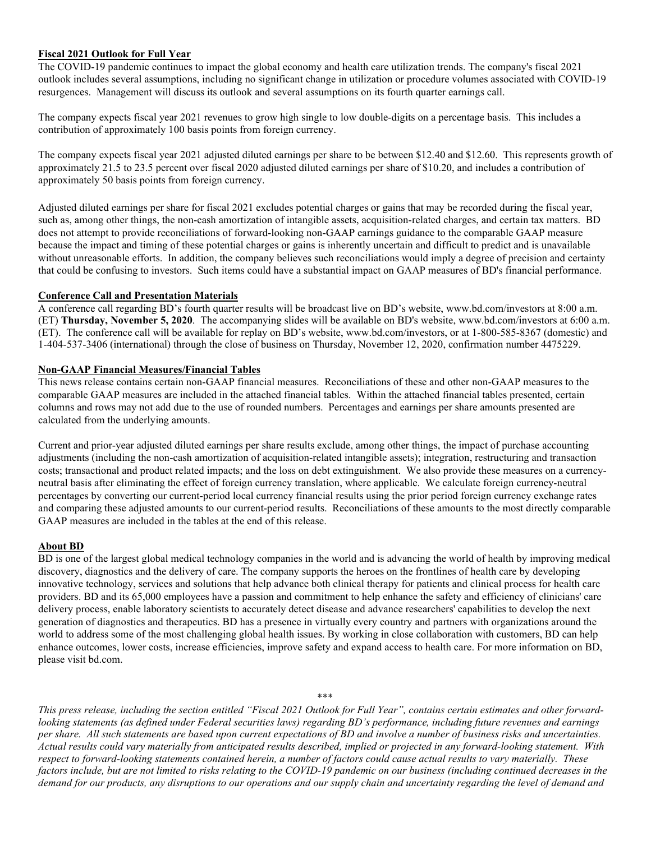#### **Fiscal 2021 Outlook for Full Year**

The COVID-19 pandemic continues to impact the global economy and health care utilization trends. The company's fiscal 2021 outlook includes several assumptions, including no significant change in utilization or procedure volumes associated with COVID-19 resurgences. Management will discuss its outlook and several assumptions on its fourth quarter earnings call.

The company expects fiscal year 2021 revenues to grow high single to low double-digits on a percentage basis. This includes a contribution of approximately 100 basis points from foreign currency.

The company expects fiscal year 2021 adjusted diluted earnings per share to be between \$12.40 and \$12.60. This represents growth of approximately 21.5 to 23.5 percent over fiscal 2020 adjusted diluted earnings per share of \$10.20, and includes a contribution of approximately 50 basis points from foreign currency.

Adjusted diluted earnings per share for fiscal 2021 excludes potential charges or gains that may be recorded during the fiscal year, such as, among other things, the non-cash amortization of intangible assets, acquisition-related charges, and certain tax matters. BD does not attempt to provide reconciliations of forward-looking non-GAAP earnings guidance to the comparable GAAP measure because the impact and timing of these potential charges or gains is inherently uncertain and difficult to predict and is unavailable without unreasonable efforts. In addition, the company believes such reconciliations would imply a degree of precision and certainty that could be confusing to investors. Such items could have a substantial impact on GAAP measures of BD's financial performance.

#### **Conference Call and Presentation Materials**

A conference call regarding BD's fourth quarter results will be broadcast live on BD's website, www.bd.com/investors at 8:00 a.m. (ET) **Thursday, November 5, 2020**. The accompanying slides will be available on BD's website, www.bd.com/investors at 6:00 a.m. (ET). The conference call will be available for replay on BD's website, www.bd.com/investors, or at 1-800-585-8367 (domestic) and 1-404-537-3406 (international) through the close of business on Thursday, November 12, 2020, confirmation number 4475229.

#### **Non-GAAP Financial Measures/Financial Tables**

This news release contains certain non-GAAP financial measures. Reconciliations of these and other non-GAAP measures to the comparable GAAP measures are included in the attached financial tables. Within the attached financial tables presented, certain columns and rows may not add due to the use of rounded numbers. Percentages and earnings per share amounts presented are calculated from the underlying amounts.

Current and prior-year adjusted diluted earnings per share results exclude, among other things, the impact of purchase accounting adjustments (including the non-cash amortization of acquisition-related intangible assets); integration, restructuring and transaction costs; transactional and product related impacts; and the loss on debt extinguishment. We also provide these measures on a currencyneutral basis after eliminating the effect of foreign currency translation, where applicable. We calculate foreign currency-neutral percentages by converting our current-period local currency financial results using the prior period foreign currency exchange rates and comparing these adjusted amounts to our current-period results. Reconciliations of these amounts to the most directly comparable GAAP measures are included in the tables at the end of this release.

#### **About BD**

BD is one of the largest global medical technology companies in the world and is advancing the world of health by improving medical discovery, diagnostics and the delivery of care. The company supports the heroes on the frontlines of health care by developing innovative technology, services and solutions that help advance both clinical therapy for patients and clinical process for health care providers. BD and its 65,000 employees have a passion and commitment to help enhance the safety and efficiency of clinicians' care delivery process, enable laboratory scientists to accurately detect disease and advance researchers' capabilities to develop the next generation of diagnostics and therapeutics. BD has a presence in virtually every country and partners with organizations around the world to address some of the most challenging global health issues. By working in close collaboration with customers, BD can help enhance outcomes, lower costs, increase efficiencies, improve safety and expand access to health care. For more information on BD, please visit bd.com.

\*\*\* *This press release, including the section entitled "Fiscal 2021 Outlook for Full Year", contains certain estimates and other forwardlooking statements (as defined under Federal securities laws) regarding BD's performance, including future revenues and earnings per share. All such statements are based upon current expectations of BD and involve a number of business risks and uncertainties. Actual results could vary materially from anticipated results described, implied or projected in any forward-looking statement. With respect to forward-looking statements contained herein, a number of factors could cause actual results to vary materially. These factors include, but are not limited to risks relating to the COVID-19 pandemic on our business (including continued decreases in the demand for our products, any disruptions to our operations and our supply chain and uncertainty regarding the level of demand and*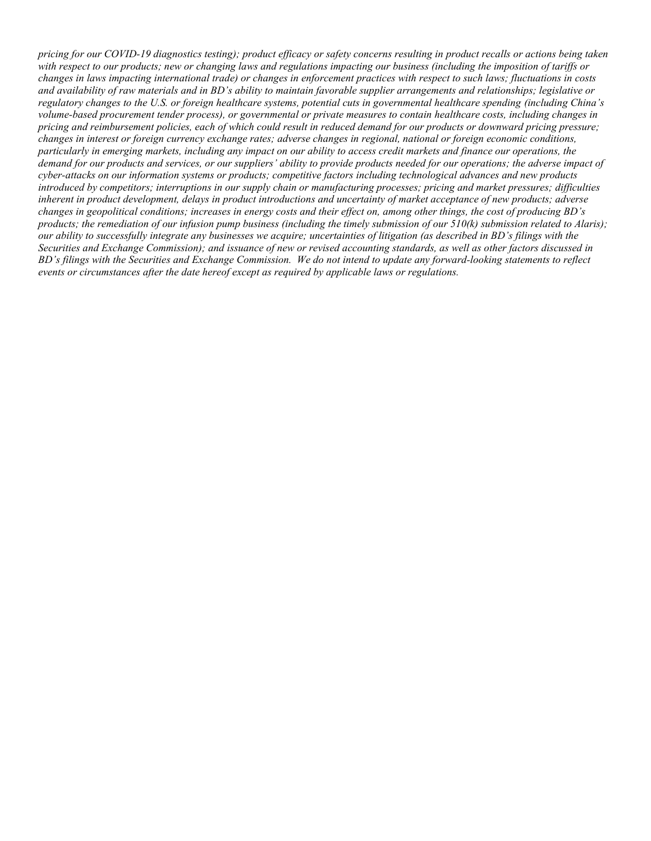*pricing for our COVID-19 diagnostics testing); product efficacy or safety concerns resulting in product recalls or actions being taken with respect to our products; new or changing laws and regulations impacting our business (including the imposition of tariffs or changes in laws impacting international trade) or changes in enforcement practices with respect to such laws; fluctuations in costs and availability of raw materials and in BD's ability to maintain favorable supplier arrangements and relationships; legislative or regulatory changes to the U.S. or foreign healthcare systems, potential cuts in governmental healthcare spending (including China's volume-based procurement tender process), or governmental or private measures to contain healthcare costs, including changes in pricing and reimbursement policies, each of which could result in reduced demand for our products or downward pricing pressure; changes in interest or foreign currency exchange rates; adverse changes in regional, national or foreign economic conditions, particularly in emerging markets, including any impact on our ability to access credit markets and finance our operations, the demand for our products and services, or our suppliers' ability to provide products needed for our operations; the adverse impact of cyber-attacks on our information systems or products; competitive factors including technological advances and new products introduced by competitors; interruptions in our supply chain or manufacturing processes; pricing and market pressures; difficulties inherent in product development, delays in product introductions and uncertainty of market acceptance of new products; adverse changes in geopolitical conditions; increases in energy costs and their effect on, among other things, the cost of producing BD's products; the remediation of our infusion pump business (including the timely submission of our 510(k) submission related to Alaris); our ability to successfully integrate any businesses we acquire; uncertainties of litigation (as described in BD's filings with the Securities and Exchange Commission); and issuance of new or revised accounting standards, as well as other factors discussed in BD's filings with the Securities and Exchange Commission. We do not intend to update any forward-looking statements to reflect events or circumstances after the date hereof except as required by applicable laws or regulations.*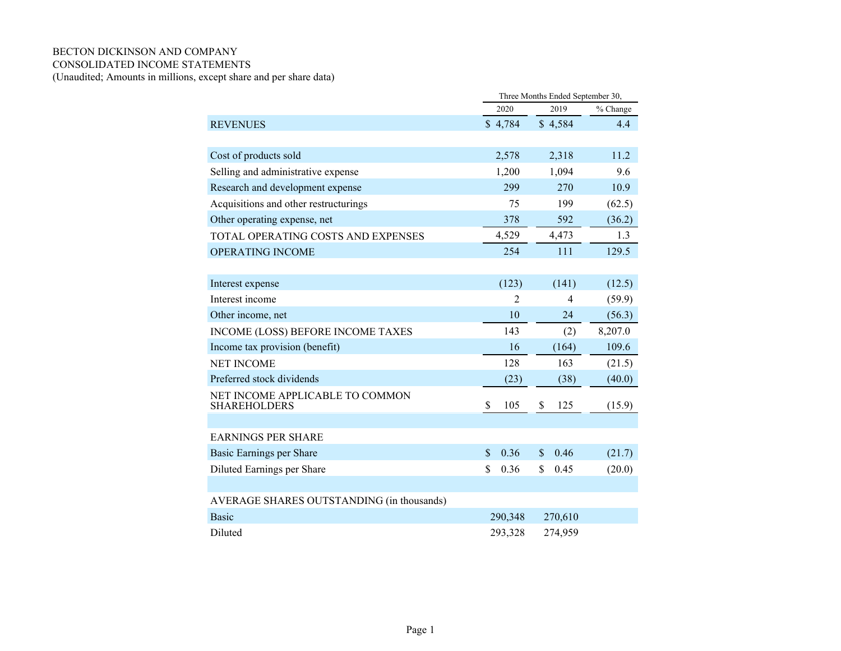### BECTON DICKINSON AND COMPANY CONSOLIDATED INCOME STATEMENTS

(Unaudited; Amounts in millions, except share and per share data)

|                                                        | Three Months Ended September 30, |                |          |  |  |  |  |
|--------------------------------------------------------|----------------------------------|----------------|----------|--|--|--|--|
|                                                        | 2020                             | 2019           | % Change |  |  |  |  |
| <b>REVENUES</b>                                        | \$4,784                          | \$4,584        | 4.4      |  |  |  |  |
|                                                        |                                  |                |          |  |  |  |  |
| Cost of products sold                                  | 2,578                            | 2,318          | 11.2     |  |  |  |  |
| Selling and administrative expense                     | 1,200                            | 1,094          | 9.6      |  |  |  |  |
| Research and development expense                       | 299                              | 270            | 10.9     |  |  |  |  |
| Acquisitions and other restructurings                  | 75                               | 199            | (62.5)   |  |  |  |  |
| Other operating expense, net                           | 378                              | 592            | (36.2)   |  |  |  |  |
| TOTAL OPERATING COSTS AND EXPENSES                     | 4,529                            | 4,473          | 1.3      |  |  |  |  |
| <b>OPERATING INCOME</b>                                | 254                              | 111            | 129.5    |  |  |  |  |
|                                                        |                                  |                |          |  |  |  |  |
| Interest expense                                       | (123)                            | (141)          | (12.5)   |  |  |  |  |
| Interest income                                        | $\mathfrak{D}$                   | $\overline{4}$ | (59.9)   |  |  |  |  |
| Other income, net                                      | 10                               | 24             | (56.3)   |  |  |  |  |
| INCOME (LOSS) BEFORE INCOME TAXES                      | 143                              | (2)            | 8,207.0  |  |  |  |  |
| Income tax provision (benefit)                         | 16                               | (164)          | 109.6    |  |  |  |  |
| <b>NET INCOME</b>                                      | 128                              | 163            | (21.5)   |  |  |  |  |
| Preferred stock dividends                              | (23)                             | (38)           | (40.0)   |  |  |  |  |
| NET INCOME APPLICABLE TO COMMON<br><b>SHAREHOLDERS</b> | \$<br>105                        | \$<br>125      | (15.9)   |  |  |  |  |
|                                                        |                                  |                |          |  |  |  |  |
| <b>EARNINGS PER SHARE</b>                              |                                  |                |          |  |  |  |  |
| Basic Earnings per Share                               | 0.36<br>\$                       | 0.46<br>\$     | (21.7)   |  |  |  |  |
| Diluted Earnings per Share                             | \$<br>0.36                       | \$<br>0.45     | (20.0)   |  |  |  |  |
|                                                        |                                  |                |          |  |  |  |  |
| AVERAGE SHARES OUTSTANDING (in thousands)              |                                  |                |          |  |  |  |  |
| <b>Basic</b>                                           | 290,348                          | 270,610        |          |  |  |  |  |
| Diluted                                                | 293,328                          | 274,959        |          |  |  |  |  |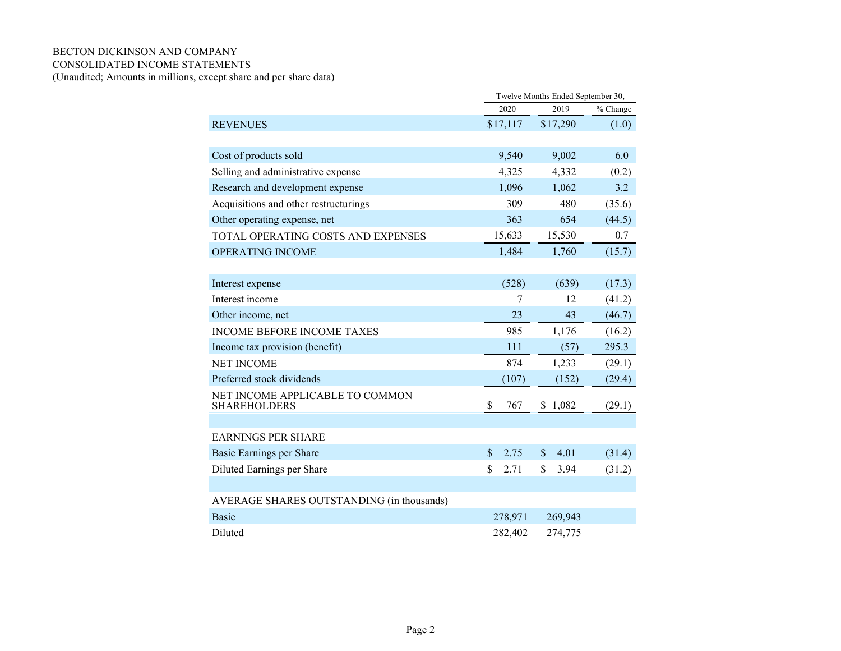### BECTON DICKINSON AND COMPANY CONSOLIDATED INCOME STATEMENTS

(Unaudited; Amounts in millions, except share and per share data)

|                                                        | Twelve Months Ended September 30, |                      |          |  |  |  |
|--------------------------------------------------------|-----------------------------------|----------------------|----------|--|--|--|
|                                                        | 2020                              | 2019                 | % Change |  |  |  |
| <b>REVENUES</b>                                        | \$17,117                          | \$17,290             | (1.0)    |  |  |  |
|                                                        |                                   |                      |          |  |  |  |
| Cost of products sold                                  | 9,540                             | 9,002                | 6.0      |  |  |  |
| Selling and administrative expense                     | 4,325                             | 4,332                | (0.2)    |  |  |  |
| Research and development expense                       | 1,096                             | 1,062                | 3.2      |  |  |  |
| Acquisitions and other restructurings                  | 309                               | 480                  | (35.6)   |  |  |  |
| Other operating expense, net                           | 363                               | 654                  | (44.5)   |  |  |  |
| TOTAL OPERATING COSTS AND EXPENSES                     | 15,633                            | 15,530               | 0.7      |  |  |  |
| <b>OPERATING INCOME</b>                                | 1,484                             | 1,760                | (15.7)   |  |  |  |
|                                                        |                                   |                      |          |  |  |  |
| Interest expense                                       | (528)                             | (639)                | (17.3)   |  |  |  |
| Interest income                                        | 7                                 | 12                   | (41.2)   |  |  |  |
| Other income, net                                      | 23                                | 43                   | (46.7)   |  |  |  |
| <b>INCOME BEFORE INCOME TAXES</b>                      | 985                               | 1,176                | (16.2)   |  |  |  |
| Income tax provision (benefit)                         | 111                               | (57)                 | 295.3    |  |  |  |
| <b>NET INCOME</b>                                      | 874                               | 1,233                | (29.1)   |  |  |  |
| Preferred stock dividends                              | (107)                             | (152)                | (29.4)   |  |  |  |
| NET INCOME APPLICABLE TO COMMON<br><b>SHAREHOLDERS</b> | \$<br>767                         | \$1,082              | (29.1)   |  |  |  |
|                                                        |                                   |                      |          |  |  |  |
| <b>EARNINGS PER SHARE</b>                              |                                   |                      |          |  |  |  |
| Basic Earnings per Share                               | \$<br>2.75                        | 4.01<br>$\mathbb{S}$ | (31.4)   |  |  |  |
| Diluted Earnings per Share                             | $\mathbf{\hat{S}}$<br>2.71        | \$<br>3.94           | (31.2)   |  |  |  |
|                                                        |                                   |                      |          |  |  |  |
| AVERAGE SHARES OUTSTANDING (in thousands)              |                                   |                      |          |  |  |  |
| <b>Basic</b>                                           | 278,971                           | 269,943              |          |  |  |  |
| Diluted                                                | 282,402                           | 274,775              |          |  |  |  |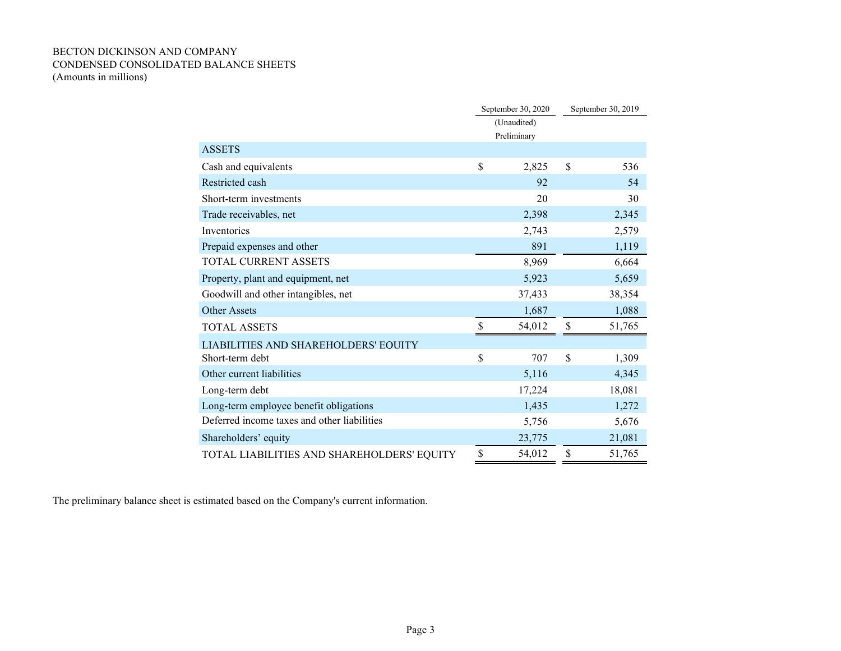### BECTON DICKINSON AND COMPANY CONDENSED CONSOLIDATED BALANCE SHEETS (Amounts in millions)

|                                             |    | September 30, 2020 | September 30, 2019 |        |  |
|---------------------------------------------|----|--------------------|--------------------|--------|--|
|                                             |    | (Unaudited)        |                    |        |  |
|                                             |    | Preliminary        |                    |        |  |
| <b>ASSETS</b>                               |    |                    |                    |        |  |
| Cash and equivalents                        | \$ | 2,825              | \$                 | 536    |  |
| Restricted cash                             |    | 92                 |                    | 54     |  |
| Short-term investments                      |    | 20                 |                    | 30     |  |
| Trade receivables, net                      |    | 2,398              |                    | 2,345  |  |
| Inventories                                 |    | 2,743              |                    | 2,579  |  |
| Prepaid expenses and other                  |    | 891                |                    | 1,119  |  |
| <b>TOTAL CURRENT ASSETS</b>                 |    | 8,969              |                    | 6,664  |  |
| Property, plant and equipment, net          |    | 5,923              |                    | 5,659  |  |
| Goodwill and other intangibles, net         |    | 37,433             |                    | 38,354 |  |
| <b>Other Assets</b>                         |    | 1,687              |                    | 1,088  |  |
| <b>TOTAL ASSETS</b>                         | \$ | 54,012             | \$                 | 51,765 |  |
| LIABILITIES AND SHAREHOLDERS' EQUITY        |    |                    |                    |        |  |
| Short-term debt                             | \$ | 707                | \$                 | 1,309  |  |
| Other current liabilities                   |    | 5,116              |                    | 4,345  |  |
| Long-term debt                              |    | 17,224             |                    | 18,081 |  |
| Long-term employee benefit obligations      |    | 1,435              |                    | 1,272  |  |
| Deferred income taxes and other liabilities |    | 5,756              |                    | 5,676  |  |
| Shareholders' equity                        |    | 23,775             |                    | 21,081 |  |
| TOTAL LIABILITIES AND SHAREHOLDERS' EQUITY  | S  | 54,012             | S                  | 51,765 |  |

The preliminary balance sheet is estimated based on the Company's current information.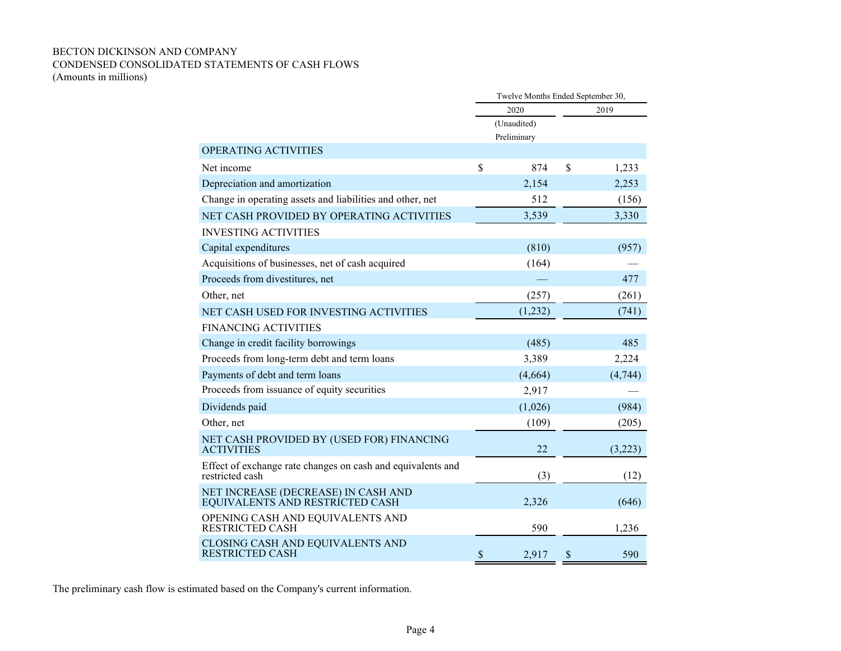# BECTON DICKINSON AND COMPANY CONDENSED CONSOLIDATED STATEMENTS OF CASH FLOWS

(Amounts in millions)

|                                                                                |                           | Twelve Months Ended September 30, |                           |         |
|--------------------------------------------------------------------------------|---------------------------|-----------------------------------|---------------------------|---------|
|                                                                                |                           | 2020                              |                           | 2019    |
|                                                                                |                           | (Unaudited)                       |                           |         |
|                                                                                |                           | Preliminary                       |                           |         |
| OPERATING ACTIVITIES                                                           |                           |                                   |                           |         |
| Net income                                                                     | \$                        | 874                               | \$                        | 1,233   |
| Depreciation and amortization                                                  |                           | 2,154                             |                           | 2,253   |
| Change in operating assets and liabilities and other, net                      |                           | 512                               |                           | (156)   |
| NET CASH PROVIDED BY OPERATING ACTIVITIES                                      |                           | 3,539                             |                           | 3,330   |
| <b>INVESTING ACTIVITIES</b>                                                    |                           |                                   |                           |         |
| Capital expenditures                                                           |                           | (810)                             |                           | (957)   |
| Acquisitions of businesses, net of cash acquired                               |                           | (164)                             |                           |         |
| Proceeds from divestitures, net                                                |                           |                                   |                           | 477     |
| Other, net                                                                     |                           | (257)                             |                           | (261)   |
| NET CASH USED FOR INVESTING ACTIVITIES                                         |                           | (1,232)                           |                           | (741)   |
| <b>FINANCING ACTIVITIES</b>                                                    |                           |                                   |                           |         |
| Change in credit facility borrowings                                           |                           | (485)                             |                           | 485     |
| Proceeds from long-term debt and term loans                                    |                           | 3,389                             |                           | 2,224   |
| Payments of debt and term loans                                                |                           | (4,664)                           |                           | (4,744) |
| Proceeds from issuance of equity securities                                    |                           | 2,917                             |                           |         |
| Dividends paid                                                                 |                           | (1,026)                           |                           | (984)   |
| Other, net                                                                     |                           | (109)                             |                           | (205)   |
| NET CASH PROVIDED BY (USED FOR) FINANCING<br><b>ACTIVITIES</b>                 |                           | 22                                |                           | (3,223) |
| Effect of exchange rate changes on cash and equivalents and<br>restricted cash |                           | (3)                               |                           | (12)    |
| NET INCREASE (DECREASE) IN CASH AND<br>EQUIVALENTS AND RESTRICTED CASH         |                           | 2,326                             |                           | (646)   |
| OPENING CASH AND EQUIVALENTS AND<br><b>RESTRICTED CASH</b>                     |                           | 590                               |                           | 1,236   |
| CLOSING CASH AND EQUIVALENTS AND<br><b>RESTRICTED CASH</b>                     | $\boldsymbol{\mathsf{S}}$ | 2,917                             | $\boldsymbol{\mathsf{S}}$ | 590     |

The preliminary cash flow is estimated based on the Company's current information.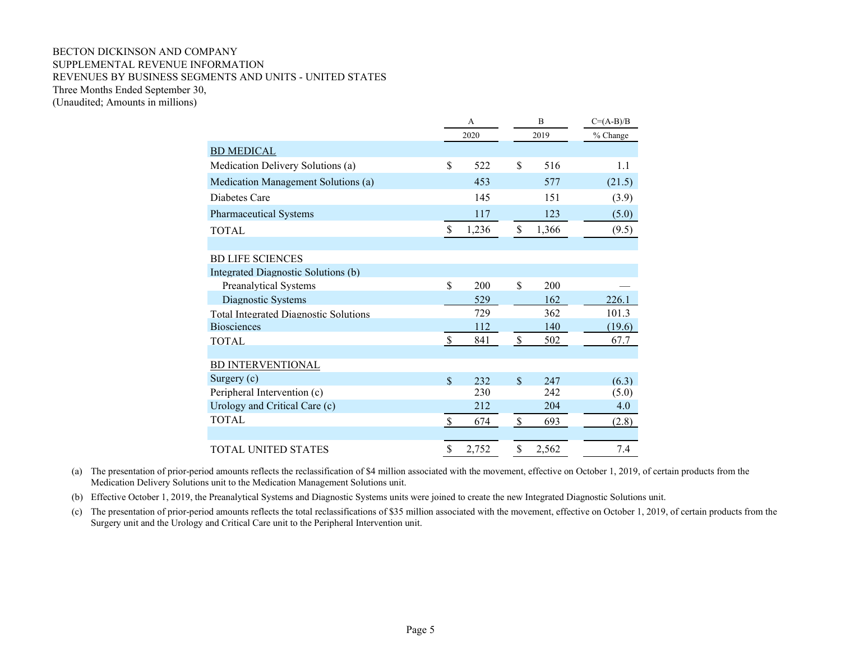#### BECTON DICKINSON AND COMPANY SUPPLEMENTAL REVENUE INFORMATION REVENUES BY BUSINESS SEGMENTS AND UNITS - UNITED STATES Three Months Ended September 30, (Unaudited; Amounts in millions)

|                                              |                           | A     | B                  |       | $C=(A-B)/B$ |  |
|----------------------------------------------|---------------------------|-------|--------------------|-------|-------------|--|
|                                              |                           | 2020  |                    | 2019  | % Change    |  |
| <b>BD MEDICAL</b>                            |                           |       |                    |       |             |  |
| Medication Delivery Solutions (a)            | \$                        | 522   | \$                 | 516   | 1.1         |  |
| Medication Management Solutions (a)          |                           | 453   |                    | 577   | (21.5)      |  |
| Diabetes Care                                |                           | 145   |                    | 151   | (3.9)       |  |
| <b>Pharmaceutical Systems</b>                |                           | 117   |                    | 123   | (5.0)       |  |
| TOTAL                                        | $\mathbf S$               | 1,236 | \$                 | 1,366 | (9.5)       |  |
|                                              |                           |       |                    |       |             |  |
| <b>BD LIFE SCIENCES</b>                      |                           |       |                    |       |             |  |
| Integrated Diagnostic Solutions (b)          |                           |       |                    |       |             |  |
| Preanalytical Systems                        | \$                        | 200   | \$                 | 200   |             |  |
| Diagnostic Systems                           |                           | 529   |                    | 162   | 226.1       |  |
| <b>Total Integrated Diagnostic Solutions</b> |                           | 729   |                    | 362   | 101.3       |  |
| <b>Biosciences</b>                           |                           | 112   |                    | 140   | (19.6)      |  |
| <b>TOTAL</b>                                 | $\boldsymbol{\mathsf{S}}$ | 841   | \$                 | 502   | 67.7        |  |
|                                              |                           |       |                    |       |             |  |
| <b>BD INTERVENTIONAL</b>                     |                           |       |                    |       |             |  |
| Surgery (c)                                  | $\mathbf S$               | 232   | \$                 | 247   | (6.3)       |  |
| Peripheral Intervention (c)                  |                           | 230   |                    | 2.42  | (5.0)       |  |
| Urology and Critical Care (c)                |                           | 212   |                    | 204   | 4.0         |  |
| <b>TOTAL</b>                                 | $\mathcal{S}$             | 674   | $\mathbf{\hat{S}}$ | 693   | (2.8)       |  |
|                                              |                           |       |                    |       |             |  |
| TOTAL UNITED STATES                          | \$                        | 2,752 | \$                 | 2,562 | 7.4         |  |

(a) The presentation of prior-period amounts reflects the reclassification of \$4 million associated with the movement, effective on October 1, 2019, of certain products from the Medication Delivery Solutions unit to the Medication Management Solutions unit.

(b) Effective October 1, 2019, the Preanalytical Systems and Diagnostic Systems units were joined to create the new Integrated Diagnostic Solutions unit.

(c) The presentation of prior-period amounts reflects the total reclassifications of \$35 million associated with the movement, effective on October 1, 2019, of certain products from the Surgery unit and the Urology and Critical Care unit to the Peripheral Intervention unit.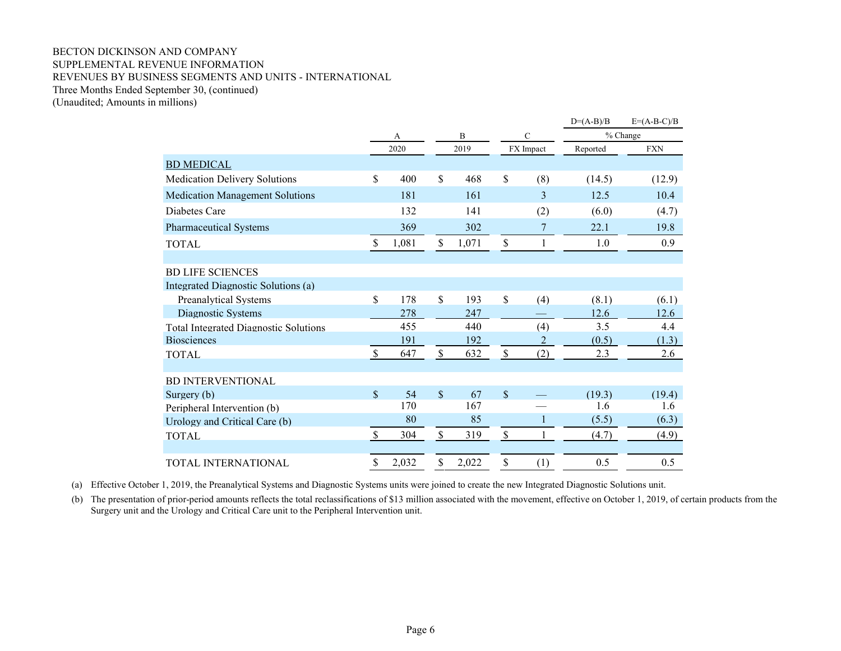#### BECTON DICKINSON AND COMPANY SUPPLEMENTAL REVENUE INFORMATION REVENUES BY BUSINESS SEGMENTS AND UNITS - INTERNATIONAL Three Months Ended September 30, (continued) (Unaudited; Amounts in millions)

|                                              |                           |       |              |       |               |             | $D=(A-B)/B$ | $E=(A-B-C)/B$ |
|----------------------------------------------|---------------------------|-------|--------------|-------|---------------|-------------|-------------|---------------|
|                                              |                           | А     |              | B     |               | $\mathbf C$ |             | % Change      |
|                                              |                           | 2020  |              | 2019  |               | FX Impact   | Reported    | <b>FXN</b>    |
| <b>BD MEDICAL</b>                            |                           |       |              |       |               |             |             |               |
| <b>Medication Delivery Solutions</b>         | \$                        | 400   | \$           | 468   | $\mathcal{S}$ | (8)         | (14.5)      | (12.9)        |
| <b>Medication Management Solutions</b>       |                           | 181   |              | 161   |               | 3           | 12.5        | 10.4          |
| Diabetes Care                                |                           | 132   |              | 141   |               | (2)         | (6.0)       | (4.7)         |
| <b>Pharmaceutical Systems</b>                |                           | 369   |              | 302   |               | 7           | 22.1        | 19.8          |
| <b>TOTAL</b>                                 | \$                        | 1,081 | \$           | 1,071 | $\mathcal{S}$ | 1           | 1.0         | 0.9           |
|                                              |                           |       |              |       |               |             |             |               |
| <b>BD LIFE SCIENCES</b>                      |                           |       |              |       |               |             |             |               |
| Integrated Diagnostic Solutions (a)          |                           |       |              |       |               |             |             |               |
| <b>Preanalytical Systems</b>                 | \$                        | 178   | $\mathbb{S}$ | 193   | $\mathcal{S}$ | (4)         | (8.1)       | (6.1)         |
| Diagnostic Systems                           |                           | 278   |              | 247   |               |             | 12.6        | 12.6          |
| <b>Total Integrated Diagnostic Solutions</b> |                           | 455   |              | 440   |               | (4)         | 3.5         | 4.4           |
| <b>Biosciences</b>                           |                           | 191   |              | 192   |               | 2           | (0.5)       | (1.3)         |
| <b>TOTAL</b>                                 | $\boldsymbol{\mathsf{S}}$ | 647   | $\mathbb{S}$ | 632   | $\mathsf{\$}$ | (2)         | 2.3         | 2.6           |
|                                              |                           |       |              |       |               |             |             |               |
| <b>BD INTERVENTIONAL</b>                     |                           |       |              |       |               |             |             |               |
| Surgery (b)                                  | $\mathbf S$               | 54    | $\mathbb{S}$ | 67    | $\mathbb{S}$  |             | (19.3)      | (19.4)        |
| Peripheral Intervention (b)                  |                           | 170   |              | 167   |               |             | 1.6         | 1.6           |
| Urology and Critical Care (b)                |                           | 80    |              | 85    |               | 1           | (5.5)       | (6.3)         |
| <b>TOTAL</b>                                 | \$                        | 304   | $\mathbb{S}$ | 319   | $\mathsf{\$}$ |             | (4.7)       | (4.9)         |
|                                              |                           |       |              |       |               |             |             |               |
| TOTAL INTERNATIONAL                          | \$                        | 2,032 | \$           | 2,022 | \$            | (1)         | 0.5         | 0.5           |

(a) Effective October 1, 2019, the Preanalytical Systems and Diagnostic Systems units were joined to create the new Integrated Diagnostic Solutions unit.

(b) The presentation of prior-period amounts reflects the total reclassifications of \$13 million associated with the movement, effective on October 1, 2019, of certain products from the Surgery unit and the Urology and Critical Care unit to the Peripheral Intervention unit.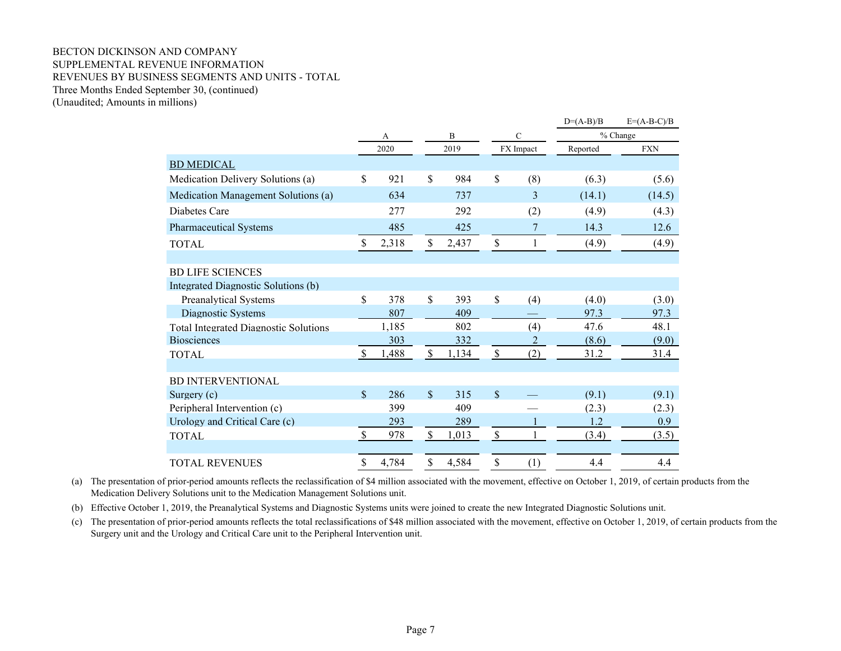#### BECTON DICKINSON AND COMPANY SUPPLEMENTAL REVENUE INFORMATION REVENUES BY BUSINESS SEGMENTS AND UNITS - TOTAL Three Months Ended September 30, (continued) (Unaudited; Amounts in millions)

|                                              |               |       |               |       |               |                | $D=(A-B)/B$ | $E=(A-B-C)/B$ |
|----------------------------------------------|---------------|-------|---------------|-------|---------------|----------------|-------------|---------------|
|                                              | A             |       |               | B     |               | $\mathbf C$    |             | % Change      |
|                                              |               | 2020  |               | 2019  |               | FX Impact      | Reported    | <b>FXN</b>    |
| <b>BD MEDICAL</b>                            |               |       |               |       |               |                |             |               |
| Medication Delivery Solutions (a)            | $\mathcal{S}$ | 921   | \$            | 984   | \$            | (8)            | (6.3)       | (5.6)         |
| Medication Management Solutions (a)          |               | 634   |               | 737   |               | 3              | (14.1)      | (14.5)        |
| Diabetes Care                                |               | 277   |               | 292   |               | (2)            | (4.9)       | (4.3)         |
| <b>Pharmaceutical Systems</b>                |               | 485   |               | 425   |               | 7              | 14.3        | 12.6          |
| <b>TOTAL</b>                                 | \$            | 2,318 | \$            | 2,437 | \$            | 1              | (4.9)       | (4.9)         |
|                                              |               |       |               |       |               |                |             |               |
| <b>BD LIFE SCIENCES</b>                      |               |       |               |       |               |                |             |               |
| Integrated Diagnostic Solutions (b)          |               |       |               |       |               |                |             |               |
| <b>Preanalytical Systems</b>                 | \$            | 378   | \$            | 393   | \$            | (4)            | (4.0)       | (3.0)         |
| Diagnostic Systems                           |               | 807   |               | 409   |               |                | 97.3        | 97.3          |
| <b>Total Integrated Diagnostic Solutions</b> |               | 1,185 |               | 802   |               | (4)            | 47.6        | 48.1          |
| <b>Biosciences</b>                           |               | 303   |               | 332   |               | $\overline{2}$ | (8.6)       | (9.0)         |
| <b>TOTAL</b>                                 | $\mathbb{S}$  | 1,488 | $\mathcal{S}$ | 1,134 | $\mathcal{S}$ | (2)            | 31.2        | 31.4          |
| <b>BD INTERVENTIONAL</b>                     |               |       |               |       |               |                |             |               |
|                                              | $\mathbf{\$}$ |       | $\mathbb{S}$  | 315   | \$            |                |             |               |
| Surgery $(c)$                                |               | 286   |               |       |               |                | (9.1)       | (9.1)         |
| Peripheral Intervention (c)                  |               | 399   |               | 409   |               |                | (2.3)       | (2.3)         |
| Urology and Critical Care (c)                |               | 293   |               | 289   |               |                | 1.2         | 0.9           |
| <b>TOTAL</b>                                 | \$            | 978   | $\mathcal{S}$ | 1,013 | $\mathcal{S}$ |                | (3.4)       | (3.5)         |
| <b>TOTAL REVENUES</b>                        | \$            | 4,784 | \$            | 4,584 | \$            | (1)            | 4.4         | 4.4           |

(a) The presentation of prior-period amounts reflects the reclassification of \$4 million associated with the movement, effective on October 1, 2019, of certain products from the Medication Delivery Solutions unit to the Medication Management Solutions unit.

(b) Effective October 1, 2019, the Preanalytical Systems and Diagnostic Systems units were joined to create the new Integrated Diagnostic Solutions unit.

(c) The presentation of prior-period amounts reflects the total reclassifications of \$48 million associated with the movement, effective on October 1, 2019, of certain products from the Surgery unit and the Urology and Critical Care unit to the Peripheral Intervention unit.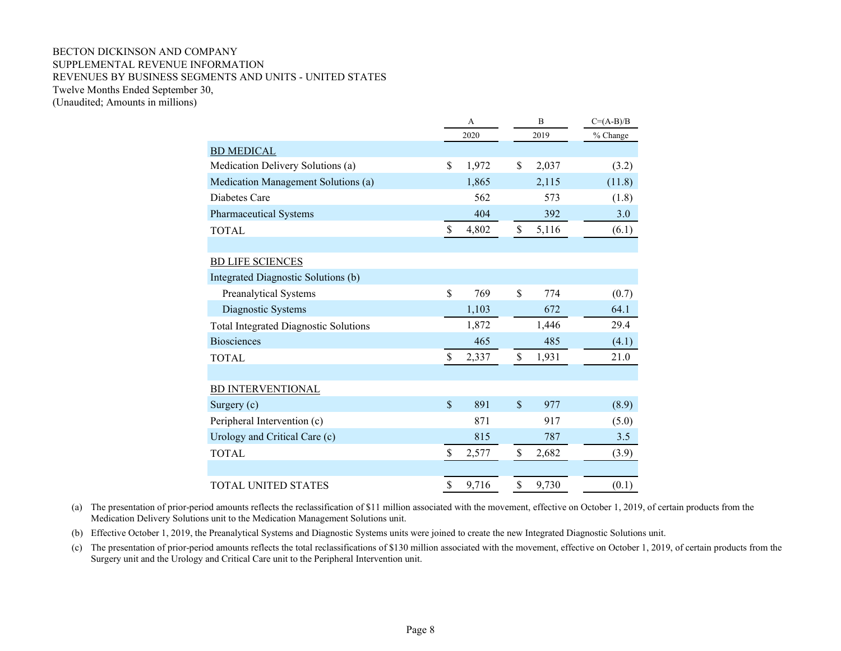#### BECTON DICKINSON AND COMPANY SUPPLEMENTAL REVENUE INFORMATION REVENUES BY BUSINESS SEGMENTS AND UNITS - UNITED STATES Twelve Months Ended September 30, (Unaudited; Amounts in millions)

|                                              |                    | A     |      |       |          | B | $C=(A-B)/B$ |  |
|----------------------------------------------|--------------------|-------|------|-------|----------|---|-------------|--|
|                                              |                    | 2020  | 2019 |       | % Change |   |             |  |
| <b>BD MEDICAL</b>                            |                    |       |      |       |          |   |             |  |
| Medication Delivery Solutions (a)            | \$                 | 1,972 | \$   | 2,037 | (3.2)    |   |             |  |
| Medication Management Solutions (a)          |                    | 1,865 |      | 2,115 | (11.8)   |   |             |  |
| Diabetes Care                                |                    | 562   |      | 573   | (1.8)    |   |             |  |
| <b>Pharmaceutical Systems</b>                |                    | 404   |      | 392   | 3.0      |   |             |  |
| <b>TOTAL</b>                                 | \$                 | 4,802 | \$   | 5,116 | (6.1)    |   |             |  |
|                                              |                    |       |      |       |          |   |             |  |
| <b>BD LIFE SCIENCES</b>                      |                    |       |      |       |          |   |             |  |
| Integrated Diagnostic Solutions (b)          |                    |       |      |       |          |   |             |  |
| Preanalytical Systems                        | \$                 | 769   | \$   | 774   | (0.7)    |   |             |  |
| Diagnostic Systems                           |                    | 1,103 |      | 672   | 64.1     |   |             |  |
| <b>Total Integrated Diagnostic Solutions</b> |                    | 1,872 |      | 1,446 | 29.4     |   |             |  |
| <b>Biosciences</b>                           |                    | 465   |      | 485   | (4.1)    |   |             |  |
| <b>TOTAL</b>                                 | \$                 | 2,337 | \$   | 1,931 | 21.0     |   |             |  |
|                                              |                    |       |      |       |          |   |             |  |
| <b>BD INTERVENTIONAL</b>                     |                    |       |      |       |          |   |             |  |
| Surgery (c)                                  | $\mathbf{\hat{S}}$ | 891   | \$   | 977   | (8.9)    |   |             |  |
| Peripheral Intervention (c)                  |                    | 871   |      | 917   | (5.0)    |   |             |  |
| Urology and Critical Care (c)                |                    | 815   |      | 787   | 3.5      |   |             |  |
| <b>TOTAL</b>                                 | \$                 | 2,577 | \$   | 2,682 | (3.9)    |   |             |  |
|                                              |                    |       |      |       |          |   |             |  |
| TOTAL UNITED STATES                          | \$                 | 9,716 | \$   | 9,730 | (0.1)    |   |             |  |

(a) The presentation of prior-period amounts reflects the reclassification of \$11 million associated with the movement, effective on October 1, 2019, of certain products from the Medication Delivery Solutions unit to the Medication Management Solutions unit.

(b) Effective October 1, 2019, the Preanalytical Systems and Diagnostic Systems units were joined to create the new Integrated Diagnostic Solutions unit.

(c) The presentation of prior-period amounts reflects the total reclassifications of \$130 million associated with the movement, effective on October 1, 2019, of certain products from the Surgery unit and the Urology and Critical Care unit to the Peripheral Intervention unit.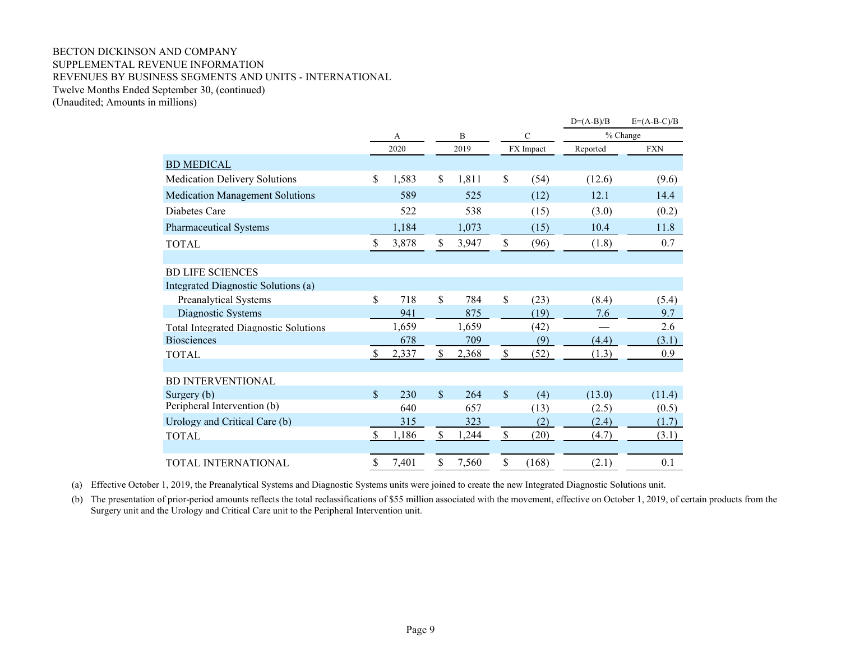## BECTON DICKINSON AND COMPANY SUPPLEMENTAL REVENUE INFORMATION REVENUES BY BUSINESS SEGMENTS AND UNITS - INTERNATIONAL Twelve Months Ended September 30, (continued)

(Unaudited; Amounts in millions)

|                                              |               |        |              |       |                           |               | $D=(A-B)/B$ | $E=(A-B-C)/B$ |
|----------------------------------------------|---------------|--------|--------------|-------|---------------------------|---------------|-------------|---------------|
|                                              |               | B<br>A |              |       |                           | $\mathcal{C}$ |             | % Change      |
|                                              |               | 2020   |              | 2019  |                           | FX Impact     | Reported    | <b>FXN</b>    |
| <b>BD MEDICAL</b>                            |               |        |              |       |                           |               |             |               |
| <b>Medication Delivery Solutions</b>         | \$            | 1,583  | \$           | 1,811 | \$                        | (54)          | (12.6)      | (9.6)         |
| <b>Medication Management Solutions</b>       |               | 589    |              | 525   |                           | (12)          | 12.1        | 14.4          |
| Diabetes Care                                |               | 522    |              | 538   |                           | (15)          | (3.0)       | (0.2)         |
| <b>Pharmaceutical Systems</b>                |               | 1,184  |              | 1,073 |                           | (15)          | 10.4        | 11.8          |
| <b>TOTAL</b>                                 | \$            | 3,878  | \$           | 3,947 | $\mathcal{S}$             | (96)          | (1.8)       | 0.7           |
|                                              |               |        |              |       |                           |               |             |               |
| <b>BD LIFE SCIENCES</b>                      |               |        |              |       |                           |               |             |               |
| Integrated Diagnostic Solutions (a)          |               |        |              |       |                           |               |             |               |
| <b>Preanalytical Systems</b>                 | $\mathbb{S}$  | 718    | \$           | 784   | \$                        | (23)          | (8.4)       | (5.4)         |
| Diagnostic Systems                           |               | 941    |              | 875   |                           | (19)          | 7.6         | 9.7           |
| <b>Total Integrated Diagnostic Solutions</b> |               | 1,659  |              | 1,659 |                           | (42)          |             | 2.6           |
| <b>Biosciences</b>                           |               | 678    |              | 709   |                           | (9)           | (4.4)       | (3.1)         |
| <b>TOTAL</b>                                 | <sup>\$</sup> | 2,337  | \$           | 2,368 | $\mathcal{S}$             | (52)          | (1.3)       | 0.9           |
|                                              |               |        |              |       |                           |               |             |               |
| <b>BD INTERVENTIONAL</b>                     |               |        |              |       |                           |               |             |               |
| Surgery (b)                                  | \$            | 230    | $\mathbb{S}$ | 264   | \$                        | (4)           | (13.0)      | (11.4)        |
| Peripheral Intervention (b)                  |               | 640    |              | 657   |                           | (13)          | (2.5)       | (0.5)         |
| Urology and Critical Care (b)                |               | 315    |              | 323   |                           | (2)           | (2.4)       | (1.7)         |
| <b>TOTAL</b>                                 | <sup>\$</sup> | 1,186  | $\mathbb S$  | 1,244 | $\boldsymbol{\mathsf{S}}$ | (20)          | (4.7)       | (3.1)         |
|                                              |               |        |              |       |                           |               |             |               |
| TOTAL INTERNATIONAL                          | \$            | 7,401  | \$           | 7,560 | \$                        | (168)         | (2.1)       | 0.1           |

(a) Effective October 1, 2019, the Preanalytical Systems and Diagnostic Systems units were joined to create the new Integrated Diagnostic Solutions unit.

(b) The presentation of prior-period amounts reflects the total reclassifications of \$55 million associated with the movement, effective on October 1, 2019, of certain products from the Surgery unit and the Urology and Critical Care unit to the Peripheral Intervention unit.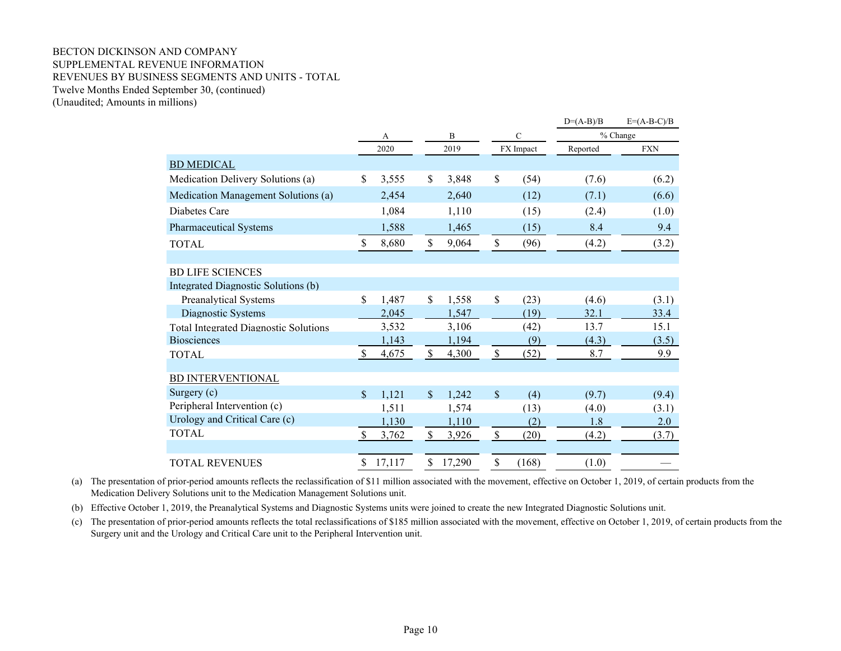#### BECTON DICKINSON AND COMPANY SUPPLEMENTAL REVENUE INFORMATION REVENUES BY BUSINESS SEGMENTS AND UNITS - TOTAL Twelve Months Ended September 30, (continued) (Unaudited; Amounts in millions)

|                                              |               |        |               |        |                           |               | $D=(A-B)/B$ | $E=(A-B-C)/B$ |
|----------------------------------------------|---------------|--------|---------------|--------|---------------------------|---------------|-------------|---------------|
|                                              | А             |        |               | B      |                           | $\mathcal{C}$ |             | % Change      |
|                                              |               | 2020   |               | 2019   |                           | FX Impact     | Reported    | <b>FXN</b>    |
| <b>BD MEDICAL</b>                            |               |        |               |        |                           |               |             |               |
| Medication Delivery Solutions (a)            | \$            | 3,555  | \$            | 3,848  | \$                        | (54)          | (7.6)       | (6.2)         |
| Medication Management Solutions (a)          |               | 2,454  |               | 2,640  |                           | (12)          | (7.1)       | (6.6)         |
| Diabetes Care                                |               | 1,084  |               | 1,110  |                           | (15)          | (2.4)       | (1.0)         |
| Pharmaceutical Systems                       |               | 1,588  |               | 1,465  |                           | (15)          | 8.4         | 9.4           |
| <b>TOTAL</b>                                 | $\mathcal{S}$ | 8,680  | $\mathcal{S}$ | 9,064  | \$                        | (96)          | (4.2)       | (3.2)         |
|                                              |               |        |               |        |                           |               |             |               |
| <b>BD LIFE SCIENCES</b>                      |               |        |               |        |                           |               |             |               |
| Integrated Diagnostic Solutions (b)          |               |        |               |        |                           |               |             |               |
| <b>Preanalytical Systems</b>                 | $\mathcal{S}$ | 1,487  | $\mathcal{S}$ | 1,558  | \$                        | (23)          | (4.6)       | (3.1)         |
| Diagnostic Systems                           |               | 2,045  |               | 1,547  |                           | (19)          | 32.1        | 33.4          |
| <b>Total Integrated Diagnostic Solutions</b> |               | 3,532  |               | 3,106  |                           | (42)          | 13.7        | 15.1          |
| <b>Biosciences</b>                           |               | 1,143  |               | 1,194  |                           | (9)           | (4.3)       | (3.5)         |
| <b>TOTAL</b>                                 | $\mathbb{S}$  | 4,675  | $\mathbb{S}$  | 4,300  | $\mathbf{\hat{S}}$        | (52)          | 8.7         | 9.9           |
|                                              |               |        |               |        |                           |               |             |               |
| <b>BD INTERVENTIONAL</b>                     |               |        |               |        |                           |               |             |               |
| Surgery $(c)$                                | $\mathcal{S}$ | 1,121  | $\mathcal{S}$ | 1,242  | \$                        | (4)           | (9.7)       | (9.4)         |
| Peripheral Intervention (c)                  |               | 1,511  |               | 1,574  |                           | (13)          | (4.0)       | (3.1)         |
| Urology and Critical Care (c)                |               | 1,130  |               | 1,110  |                           | (2)           | 1.8         | 2.0           |
| <b>TOTAL</b>                                 | <sup>\$</sup> | 3,762  | \$            | 3,926  | $\boldsymbol{\mathsf{S}}$ | (20)          | (4.2)       | (3.7)         |
|                                              |               |        |               |        |                           |               |             |               |
| <b>TOTAL REVENUES</b>                        | \$            | 17,117 | \$            | 17,290 | \$                        | (168)         | (1.0)       |               |

(a) The presentation of prior-period amounts reflects the reclassification of \$11 million associated with the movement, effective on October 1, 2019, of certain products from the Medication Delivery Solutions unit to the Medication Management Solutions unit.

(b) Effective October 1, 2019, the Preanalytical Systems and Diagnostic Systems units were joined to create the new Integrated Diagnostic Solutions unit.

(c) The presentation of prior-period amounts reflects the total reclassifications of \$185 million associated with the movement, effective on October 1, 2019, of certain products from the Surgery unit and the Urology and Critical Care unit to the Peripheral Intervention unit.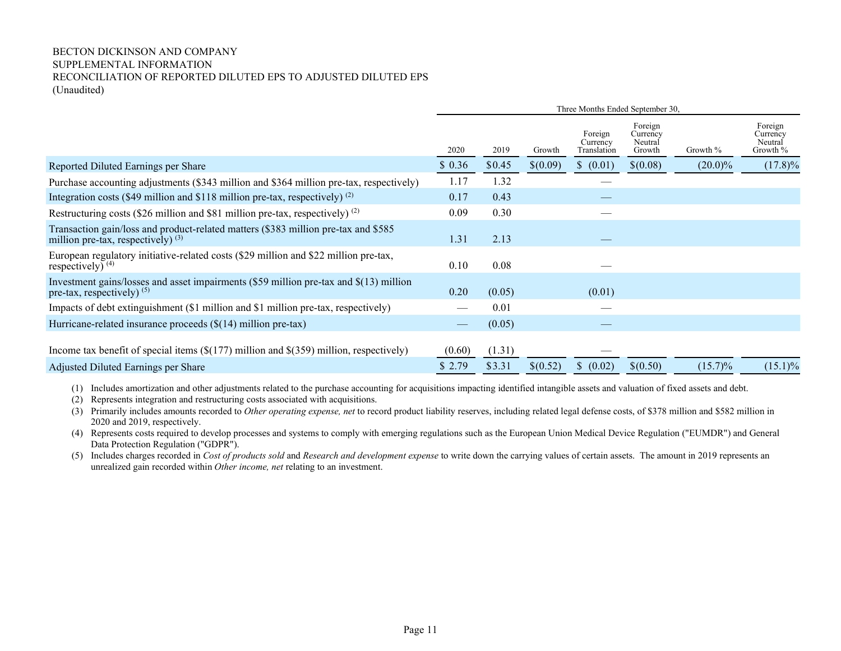### BECTON DICKINSON AND COMPANY SUPPLEMENTAL INFORMATION RECONCILIATION OF REPORTED DILUTED EPS TO ADJUSTED DILUTED EPS (Unaudited)

|                                                                                                                            |        |        |          | Three Months Ended September 30,   |                                          |            |                                            |
|----------------------------------------------------------------------------------------------------------------------------|--------|--------|----------|------------------------------------|------------------------------------------|------------|--------------------------------------------|
|                                                                                                                            | 2020   | 2019   | Growth   | Foreign<br>Currency<br>Translation | Foreign<br>Currency<br>Neutral<br>Growth | Growth %   | Foreign<br>Currency<br>Neutral<br>Growth % |
| Reported Diluted Earnings per Share                                                                                        | \$0.36 | \$0.45 | \$(0.09) | \$ (0.01)                          | \$(0.08)                                 | $(20.0)\%$ | $(17.8)\%$                                 |
| Purchase accounting adjustments (\$343 million and \$364 million pre-tax, respectively)                                    | 1.17   | 1.32   |          |                                    |                                          |            |                                            |
| Integration costs (\$49 million and \$118 million pre-tax, respectively) $(2)$                                             | 0.17   | 0.43   |          |                                    |                                          |            |                                            |
| Restructuring costs (\$26 million and \$81 million pre-tax, respectively) $^{(2)}$                                         | 0.09   | 0.30   |          |                                    |                                          |            |                                            |
| Transaction gain/loss and product-related matters (\$383 million pre-tax and \$585<br>million pre-tax, respectively) $(3)$ | 1.31   | 2.13   |          |                                    |                                          |            |                                            |
| European regulatory initiative-related costs (\$29 million and \$22 million pre-tax,<br>respectively) $(4)$                | 0.10   | 0.08   |          |                                    |                                          |            |                                            |
| Investment gains/losses and asset impairments (\$59 million pre-tax and \$(13) million<br>pre-tax, respectively) $(5)$     | 0.20   | (0.05) |          | (0.01)                             |                                          |            |                                            |
| Impacts of debt extinguishment (\$1 million and \$1 million pre-tax, respectively)                                         |        | 0.01   |          |                                    |                                          |            |                                            |
| Hurricane-related insurance proceeds $(\$(14)$ million pre-tax)                                                            |        | (0.05) |          |                                    |                                          |            |                                            |
| Income tax benefit of special items $(\$(177)$ million and $$(359)$ million, respectively)                                 | (0.60) | (1.31) |          |                                    |                                          |            |                                            |
| Adjusted Diluted Earnings per Share                                                                                        | \$2.79 | \$3.31 | \$(0.52) | \$ (0.02)                          | \$(0.50)                                 | $(15.7)\%$ | $(15.1)\%$                                 |

(1) Includes amortization and other adjustments related to the purchase accounting for acquisitions impacting identified intangible assets and valuation of fixed assets and debt.

- (2) Represents integration and restructuring costs associated with acquisitions.
- (3) Primarily includes amounts recorded to *Other operating expense, net* to record product liability reserves, including related legal defense costs, of \$378 million and \$582 million in 2020 and 2019, respectively.

(4) Represents costs required to develop processes and systems to comply with emerging regulations such as the European Union Medical Device Regulation ("EUMDR") and General Data Protection Regulation ("GDPR").

(5) Includes charges recorded in *Cost of products sold* and *Research and development expense* to write down the carrying values of certain assets. The amount in 2019 represents an unrealized gain recorded within *Other income, net* relating to an investment.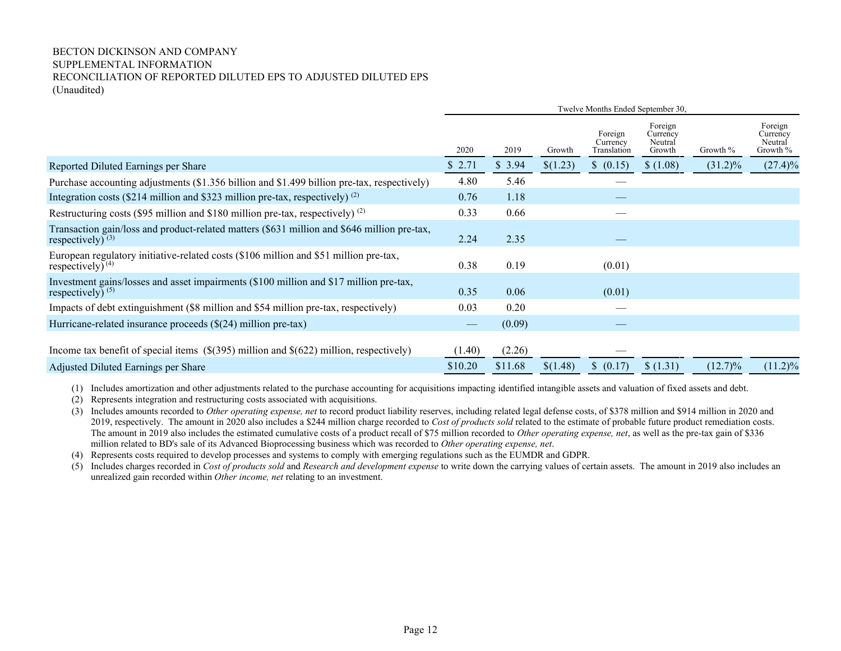### BECTON DICKINSON AND COMPANY SUPPLEMENTAL INFORMATION RECONCILIATION OF REPORTED DILUTED EPS TO ADJUSTED DILUTED EPS (Unaudited)

|                                                                                                                    | Twelve Months Ended September 30, |         |          |                                    |                                          |            |                                            |  |
|--------------------------------------------------------------------------------------------------------------------|-----------------------------------|---------|----------|------------------------------------|------------------------------------------|------------|--------------------------------------------|--|
|                                                                                                                    | 2020                              | 2019    | Growth   | Foreign<br>Currency<br>Translation | Foreign<br>Currency<br>Neutral<br>Growth | Growth %   | Foreign<br>Currency<br>Neutral<br>Growth % |  |
| Reported Diluted Earnings per Share                                                                                | \$2.71                            | \$3.94  | \$(1.23) | \$ (0.15)                          | \$(1.08)                                 | $(31.2)\%$ | $(27.4)\%$                                 |  |
| Purchase accounting adjustments (\$1.356 billion and \$1.499 billion pre-tax, respectively)                        | 4.80                              | 5.46    |          |                                    |                                          |            |                                            |  |
| Integration costs (\$214 million and \$323 million pre-tax, respectively) $^{(2)}$                                 | 0.76                              | 1.18    |          |                                    |                                          |            |                                            |  |
| Restructuring costs (\$95 million and \$180 million pre-tax, respectively) $(2)$                                   | 0.33                              | 0.66    |          |                                    |                                          |            |                                            |  |
| Transaction gain/loss and product-related matters (\$631 million and \$646 million pre-tax,<br>respectively) $(3)$ | 2.24                              | 2.35    |          |                                    |                                          |            |                                            |  |
| European regulatory initiative-related costs (\$106 million and \$51 million pre-tax,<br>respectively) $(4)$       | 0.38                              | 0.19    |          | (0.01)                             |                                          |            |                                            |  |
| Investment gains/losses and asset impairments (\$100 million and \$17 million pre-tax,<br>respectively) $(5)$      | 0.35                              | 0.06    |          | (0.01)                             |                                          |            |                                            |  |
| Impacts of debt extinguishment (\$8 million and \$54 million pre-tax, respectively)                                | 0.03                              | 0.20    |          |                                    |                                          |            |                                            |  |
| Hurricane-related insurance proceeds $(\$(24)$ million pre-tax)                                                    |                                   | (0.09)  |          |                                    |                                          |            |                                            |  |
| Income tax benefit of special items $(\frac{1}{295})$ million and $\frac{1}{222}$ million, respectively)           | (1.40)                            | (2.26)  |          |                                    |                                          |            |                                            |  |
| Adjusted Diluted Earnings per Share                                                                                | \$10.20                           | \$11.68 | \$(1.48) | \$ (0.17)                          | \$(1.31)                                 | $(12.7)\%$ | $(11.2)\%$                                 |  |

(1) Includes amortization and other adjustments related to the purchase accounting for acquisitions impacting identified intangible assets and valuation of fixed assets and debt.

(2) Represents integration and restructuring costs associated with acquisitions.

(3) Includes amounts recorded to *Other operating expense, net* to record product liability reserves, including related legal defense costs, of \$378 million and \$914 million in 2020 and 2019, respectively. The amount in 2020 also includes a \$244 million charge recorded to *Cost of products sold* related to the estimate of probable future product remediation costs. The amount in 2019 also includes the estimated cumulative costs of a product recall of \$75 million recorded to *Other operating expense, net*, as well as the pre-tax gain of \$336 million related to BD's sale of its Advanced Bioprocessing business which was recorded to *Other operating expense, net*.

(4) Represents costs required to develop processes and systems to comply with emerging regulations such as the EUMDR and GDPR.

(5) Includes charges recorded in *Cost of products sold* and *Research and development expense* to write down the carrying values of certain assets. The amount in 2019 also includes an unrealized gain recorded within *Other income, net* relating to an investment.